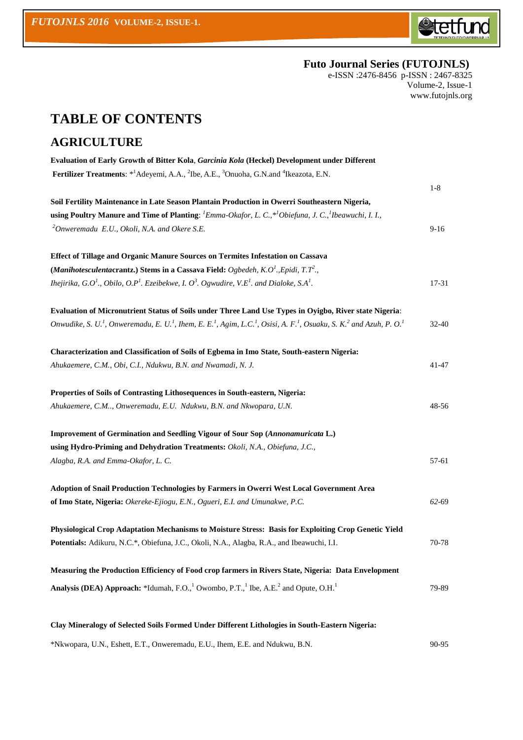

### **Futo Journal Series (FUTOJNLS)**

e-ISSN :2476-8456 p-ISSN : 2467-8325 Volume-2, Issue-1 [www.futojnls.org](http://www.futojnls.org/)

# **TABLE OF CONTENTS**

#### **AGRICULTURE**

| Evaluation of Early Growth of Bitter Kola, Garcinia Kola (Heckel) Development under Different                                                                                                            |           |
|----------------------------------------------------------------------------------------------------------------------------------------------------------------------------------------------------------|-----------|
| Fertilizer Treatments: * Adeyemi, A.A., <sup>2</sup> Ibe, A.E., <sup>3</sup> Onuoha, G.N.and <sup>4</sup> Ikeazota, E.N.                                                                                 |           |
|                                                                                                                                                                                                          | $1-8$     |
| Soil Fertility Maintenance in Late Season Plantain Production in Owerri Southeastern Nigeria,                                                                                                            |           |
| using Poultry Manure and Time of Planting: $^l$ Emma-Okafor, L. C., $^{*l}$ Obiefuna, J. C., $^l$ Ibeawuchi, I. I.,                                                                                      |           |
| <sup>2</sup> Onweremadu E.U., Okoli, N.A. and Okere S.E.                                                                                                                                                 | $9-16$    |
| Effect of Tillage and Organic Manure Sources on Termites Infestation on Cassava                                                                                                                          |           |
| (Manihotesculentacrantz.) Stems in a Cassava Field: Ogbedeh, K.O <sup>1</sup> ., Epidi, T.T <sup>2</sup> .,                                                                                              |           |
| Ihejirika, G.O <sup>1</sup> ., Obilo, O.P <sup>1</sup> . Ezeibekwe, I. O <sup>3</sup> . Ogwudire, V.E <sup>1</sup> . and Dialoke, S.A <sup>1</sup> .                                                     | 17-31     |
| Evaluation of Micronutrient Status of Soils under Three Land Use Types in Oyigbo, River state Nigeria:                                                                                                   |           |
| Onwudike, S. U. <sup>1</sup> , Onweremadu, E. U. <sup>1</sup> , Ihem, E. E. <sup>1</sup> , Agim, L.C. <sup>1</sup> , Osisi, A. F. <sup>1</sup> , Osuaku, S. K. <sup>2</sup> and Azuh, P. O. <sup>1</sup> | $32 - 40$ |
| Characterization and Classification of Soils of Egbema in Imo State, South-eastern Nigeria:                                                                                                              |           |
| Ahukaemere, C.M., Obi, C.I., Ndukwu, B.N. and Nwamadi, N. J.                                                                                                                                             | $41 - 47$ |
| Properties of Soils of Contrasting Lithosequences in South-eastern, Nigeria:                                                                                                                             |           |
| Ahukaemere, C.M, Onweremadu, E.U. Ndukwu, B.N. and Nkwopara, U.N.                                                                                                                                        | 48-56     |
| <b>Improvement of Germination and Seedling Vigour of Sour Sop (Annonamuricata L.)</b>                                                                                                                    |           |
| using Hydro-Priming and Dehydration Treatments: Okoli, N.A., Obiefuna, J.C.,                                                                                                                             |           |
| Alagba, R.A. and Emma-Okafor, L. C.                                                                                                                                                                      | 57-61     |
| Adoption of Snail Production Technologies by Farmers in Owerri West Local Government Area                                                                                                                |           |
| of Imo State, Nigeria: Okereke-Ejiogu, E.N., Ogueri, E.I. and Umunakwe, P.C.                                                                                                                             | 62-69     |
| Physiological Crop Adaptation Mechanisms to Moisture Stress: Basis for Exploiting Crop Genetic Yield                                                                                                     |           |
| Potentials: Adikuru, N.C.*, Obiefuna, J.C., Okoli, N.A., Alagba, R.A., and Ibeawuchi, I.I.                                                                                                               | 70-78     |
| Measuring the Production Efficiency of Food crop farmers in Rivers State, Nigeria: Data Envelopment                                                                                                      |           |
| Analysis (DEA) Approach: *Idumah, F.O., <sup>1</sup> Owombo, P.T., <sup>1</sup> Ibe, A.E. <sup>2</sup> and Opute, O.H. <sup>1</sup>                                                                      | 79-89     |
| Clay Mineralogy of Selected Soils Formed Under Different Lithologies in South-Eastern Nigeria:                                                                                                           |           |
|                                                                                                                                                                                                          |           |

\*Nkwopara, U.N., Eshett, E.T., Onweremadu, E.U., Ihem, E.E. and Ndukwu, B.N. 90-95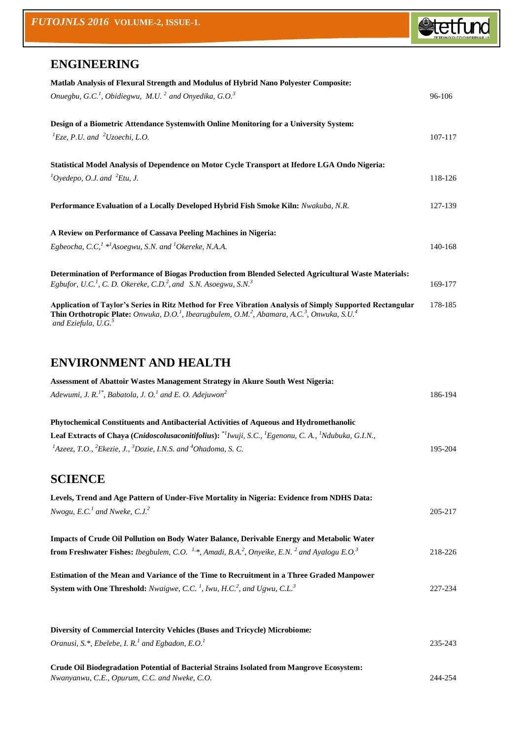

227-234

## **ENGINEERING**

| Matlab Analysis of Flexural Strength and Modulus of Hybrid Nano Polyester Composite:<br>Onuegbu, G.C. <sup>1</sup> , Obidiegwu, M.U. <sup>2</sup> and Onyedika, G.O. <sup>3</sup>                                                                                                                          | 96-106  |
|------------------------------------------------------------------------------------------------------------------------------------------------------------------------------------------------------------------------------------------------------------------------------------------------------------|---------|
| Design of a Biometric Attendance Systemwith Online Monitoring for a University System:<br>${}^{1}E$ ze, P.U. and ${}^{2}U$ zoechi, L.O.                                                                                                                                                                    | 107-117 |
| Statistical Model Analysis of Dependence on Motor Cycle Transport at Ifedore LGA Ondo Nigeria:<br>${}^{1}O$ yedepo, O.J. and ${}^{2}Etu$ , J.                                                                                                                                                              | 118-126 |
| Performance Evaluation of a Locally Developed Hybrid Fish Smoke Kiln: Nwakuba, N.R.                                                                                                                                                                                                                        | 127-139 |
| A Review on Performance of Cassava Peeling Machines in Nigeria:<br>Egbeocha, C.C, $^1$ * <sup>1</sup> Asoegwu, S.N. and <sup>1</sup> Okereke, N.A.A.                                                                                                                                                       | 140-168 |
| Determination of Performance of Biogas Production from Blended Selected Agricultural Waste Materials:<br>Egbufor, U.C. <sup>1</sup> , C.D. Okereke, C.D. <sup>2</sup> , and S.N. Asoegwu, S.N. <sup>3</sup>                                                                                                | 169-177 |
| Application of Taylor's Series in Ritz Method for Free Vibration Analysis of Simply Supported Rectangular<br>Thin Orthotropic Plate: Onwuka, D.O. <sup>1</sup> , Ibearugbulem, O.M. <sup>2</sup> , Abamara, A.C. <sup>3</sup> , Onwuka, S.U. <sup>4</sup><br>and Eziefula, $\overline{U}$ .G. <sup>5</sup> | 178-185 |
| <b>ENVIRONMENT AND HEALTH</b>                                                                                                                                                                                                                                                                              |         |
| Assessment of Abattoir Wastes Management Strategy in Akure South West Nigeria:                                                                                                                                                                                                                             |         |
| Adewumi, J. R. <sup>1*</sup> , Babatola, J. O. <sup>1</sup> and E. O. Adejuwon <sup>2</sup>                                                                                                                                                                                                                | 186-194 |
| Phytochemical Constituents and Antibacterial Activities of Aqueous and Hydromethanolic                                                                                                                                                                                                                     |         |
| Leaf Extracts of Chaya (Cnidoscolusaconitifolius): * Iwuji, S.C., <sup>1</sup> Egenonu, C.A., <sup>1</sup> Ndubuka, G.I.N.,                                                                                                                                                                                |         |
| <sup>1</sup> Azeez, T.O., <sup>2</sup> Ekezie, J., <sup>3</sup> Dozie, I.N.S. and <sup>4</sup> Ohadoma, S. C.                                                                                                                                                                                              | 195-204 |
| <b>SCIENCE</b>                                                                                                                                                                                                                                                                                             |         |
| Levels, Trend and Age Pattern of Under-Five Mortality in Nigeria: Evidence from NDHS Data:                                                                                                                                                                                                                 |         |
| Nwogu, E.C. <sup>1</sup> and Nweke, C.J. <sup>2</sup>                                                                                                                                                                                                                                                      | 205-217 |

| Impacts of Crude Oil Pollution on Body Water Balance, Derivable Energy and Metabolic Water                                                          |         |
|-----------------------------------------------------------------------------------------------------------------------------------------------------|---------|
| <b>from Freshwater Fishes:</b> Ibegbulem, C.O. <sup>1,*</sup> , Amadi, B.A. <sup>2</sup> , Onyeike, E.N. <sup>2</sup> and Ayalogu E.O. <sup>3</sup> | 218-226 |
| <b>Estimation of the Mean and Variance of the Time to Recruitment in a Three Graded Manpower</b>                                                    |         |

**System with One Threshold:** *Nwaigwe, C.C.*<sup>1</sup>, *Iwu, H.C.*<sup>2</sup>, and Ugwu, C.L.<sup>3</sup>

| Diversity of Commercial Intercity Vehicles (Buses and Tricycle) Microbiome:               |         |
|-------------------------------------------------------------------------------------------|---------|
| Oranusi, S.*, Ebelebe, I. R. <sup>1</sup> and Egbadon, E.O. <sup>1</sup>                  | 235-243 |
| Crude Oil Biodegradation Potential of Bacterial Strains Isolated from Mangrove Ecosystem: |         |
| Nwanyanwu, C.E., Opurum, C.C. and Nweke, C.O.                                             | 244-254 |